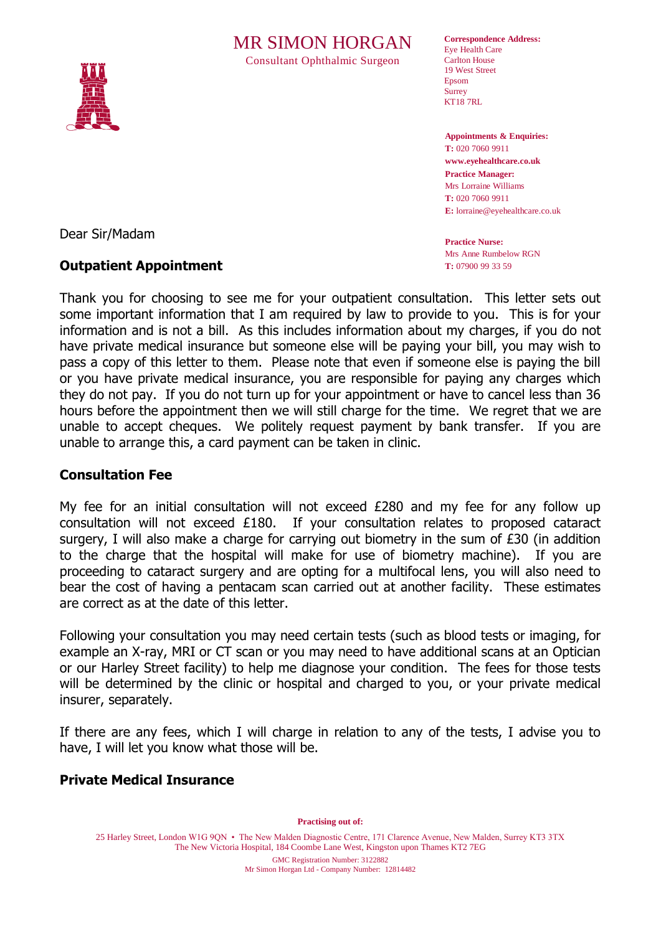# MR SIMON HORGAN





**Correspondence Address:** Eye Health Care Carlton House 19 West Street Epsom Surrey KT18 7RL

**Appointments & Enquiries: T:** 020 7060 9911 **www.eyehealthcare.co.uk Practice Manager:** Mrs Lorraine Williams **T:** 020 7060 9911 **E:** lorraine@eyehealthcare.co.uk

**Practice Nurse:** Mrs Anne Rumbelow RGN **T:** 07900 99 33 59

Dear Sir/Madam

#### **Outpatient Appointment**

Thank you for choosing to see me for your outpatient consultation. This letter sets out some important information that I am required by law to provide to you. This is for your information and is not a bill. As this includes information about my charges, if you do not have private medical insurance but someone else will be paying your bill, you may wish to pass a copy of this letter to them. Please note that even if someone else is paying the bill or you have private medical insurance, you are responsible for paying any charges which they do not pay. If you do not turn up for your appointment or have to cancel less than 36 hours before the appointment then we will still charge for the time. We regret that we are unable to accept cheques. We politely request payment by bank transfer. If you are unable to arrange this, a card payment can be taken in clinic.

### **Consultation Fee**

My fee for an initial consultation will not exceed £280 and my fee for any follow up consultation will not exceed £180. If your consultation relates to proposed cataract surgery, I will also make a charge for carrying out biometry in the sum of £30 (in addition to the charge that the hospital will make for use of biometry machine). If you are proceeding to cataract surgery and are opting for a multifocal lens, you will also need to bear the cost of having a pentacam scan carried out at another facility. These estimates are correct as at the date of this letter.

Following your consultation you may need certain tests (such as blood tests or imaging, for example an X-ray, MRI or CT scan or you may need to have additional scans at an Optician or our Harley Street facility) to help me diagnose your condition. The fees for those tests will be determined by the clinic or hospital and charged to you, or your private medical insurer, separately.

If there are any fees, which I will charge in relation to any of the tests, I advise you to have, I will let you know what those will be.

#### **Private Medical Insurance**

**Practising out of:**